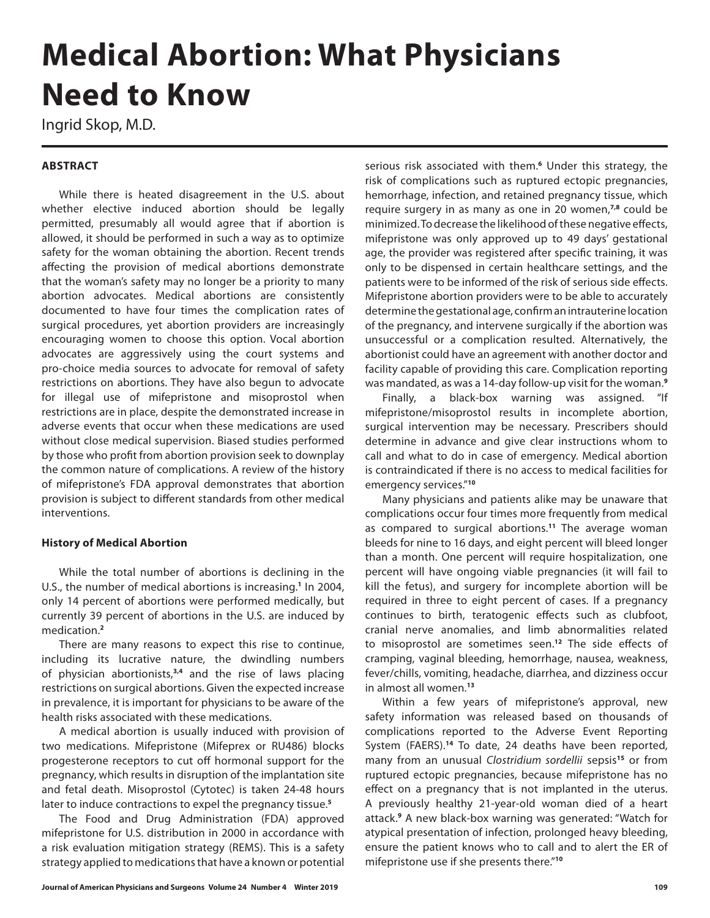# **Medical Abortion: What Physicians Need to Know**

Ingrid Skop, M.D.

## **ABSTRACT**

While there is heated disagreement in the U.S. about whether elective induced abortion should be legally permitted, presumably all would agree that if abortion is allowed, it should be performed in such a way as to optimize safety for the woman obtaining the abortion. Recent trends affecting the provision of medical abortions demonstrate that the woman's safety may no longer be a priority to many abortion advocates. Medical abortions are consistently documented to have four times the complication rates of surgical procedures, yet abortion providers are increasingly encouraging women to choose this option. Vocal abortion advocates are aggressively using the court systems and pro-choice media sources to advocate for removal of safety restrictions on abortions. They have also begun to advocate for illegal use of mifepristone and misoprostol when restrictions are in place, despite the demonstrated increase in adverse events that occur when these medications are used without close medical supervision. Biased studies performed by those who profit from abortion provision seek to downplay the common nature of complications. A review of the history of mifepristone's FDA approval demonstrates that abortion provision is subject to different standards from other medical interventions.

### **History of Medical Abortion**

While the total number of abortions is declining in the U.S., the number of medical abortions is increasing.<sup>1</sup> In 2004, only 14 percent of abortions were performed medically, but currently 39 percent of abortions in the U.S. are induced by medication.**<sup>2</sup>**

There are many reasons to expect this rise to continue, including its lucrative nature, the dwindling numbers of physician abortionists,**3,4** and the rise of laws placing restrictions on surgical abortions. Given the expected increase in prevalence, it is important for physicians to be aware of the health risks associated with these medications.

A medical abortion is usually induced with provision of two medications. Mifepristone (Mifeprex or RU486) blocks progesterone receptors to cut off hormonal support for the pregnancy, which results in disruption of the implantation site and fetal death. Misoprostol (Cytotec) is taken 24-48 hours later to induce contractions to expel the pregnancy tissue.**<sup>5</sup>**

The Food and Drug Administration (FDA) approved mifepristone for U.S. distribution in 2000 in accordance with a risk evaluation mitigation strategy (REMS). This is a safety strategy applied to medications that have a known or potential

serious risk associated with them.**<sup>6</sup>** Under this strategy, the risk of complications such as ruptured ectopic pregnancies, hemorrhage, infection, and retained pregnancy tissue, which require surgery in as many as one in 20 women,**7,8** could be minimized. To decrease the likelihood of these negative effects, mifepristone was only approved up to 49 days' gestational age, the provider was registered after specific training, it was only to be dispensed in certain healthcare settings, and the patients were to be informed of the risk of serious side effects. Mifepristone abortion providers were to be able to accurately determine the gestational age, confirm an intrauterine location of the pregnancy, and intervene surgically if the abortion was unsuccessful or a complication resulted. Alternatively, the abortionist could have an agreement with another doctor and facility capable of providing this care. Complication reporting was mandated, as was a 14-day follow-up visit for the woman.**<sup>9</sup>**

Finally, a black-box warning was assigned. "If mifepristone/misoprostol results in incomplete abortion, surgical intervention may be necessary. Prescribers should determine in advance and give clear instructions whom to call and what to do in case of emergency. Medical abortion is contraindicated if there is no access to medical facilities for emergency services."**<sup>10</sup>**

Many physicians and patients alike may be unaware that complications occur four times more frequently from medical as compared to surgical abortions.**<sup>11</sup>** The average woman bleeds for nine to 16 days, and eight percent will bleed longer than a month. One percent will require hospitalization, one percent will have ongoing viable pregnancies (it will fail to kill the fetus), and surgery for incomplete abortion will be required in three to eight percent of cases. If a pregnancy continues to birth, teratogenic effects such as clubfoot, cranial nerve anomalies, and limb abnormalities related to misoprostol are sometimes seen.**<sup>12</sup>** The side effects of cramping, vaginal bleeding, hemorrhage, nausea, weakness, fever/chills, vomiting, headache, diarrhea, and dizziness occur in almost all women.**<sup>13</sup>**

Within a few years of mifepristone's approval, new safety information was released based on thousands of complications reported to the Adverse Event Reporting System (FAERS).**<sup>14</sup>** To date, 24 deaths have been reported, many from an unusual *Clostridium sordellii* sepsis**<sup>15</sup>** or from ruptured ectopic pregnancies, because mifepristone has no effect on a pregnancy that is not implanted in the uterus. A previously healthy 21-year-old woman died of a heart attack.**<sup>9</sup>** A new black-box warning was generated: "Watch for atypical presentation of infection, prolonged heavy bleeding, ensure the patient knows who to call and to alert the ER of mifepristone use if she presents there."**<sup>10</sup>**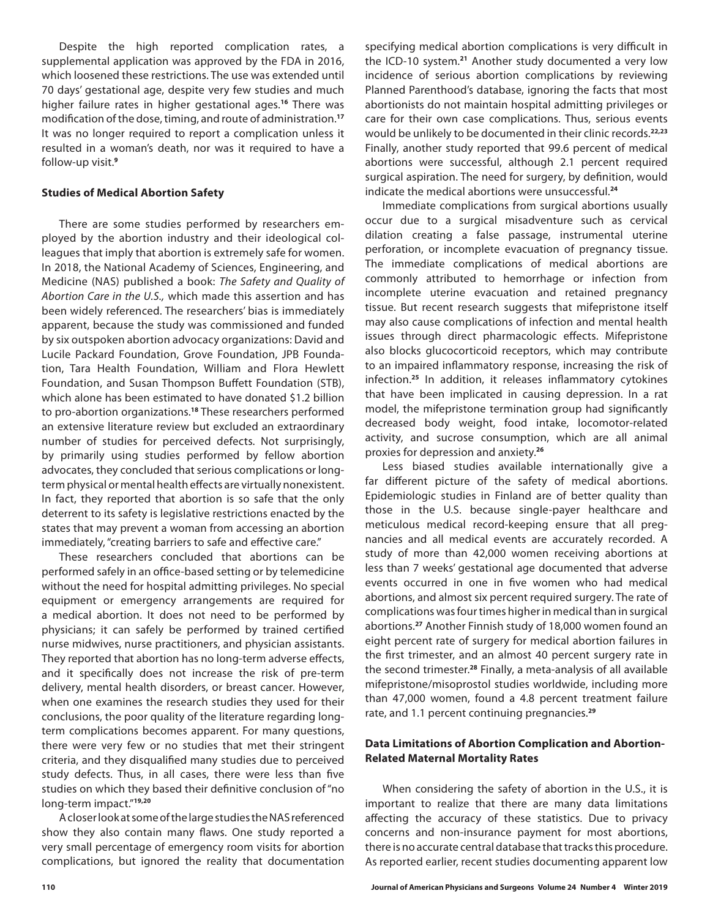Despite the high reported complication rates, a supplemental application was approved by the FDA in 2016, which loosened these restrictions. The use was extended until 70 days' gestational age, despite very few studies and much higher failure rates in higher gestational ages.**<sup>16</sup>** There was modification of the dose, timing, and route of administration.**<sup>17</sup>** It was no longer required to report a complication unless it resulted in a woman's death, nor was it required to have a follow-up visit.**<sup>9</sup>**

## **Studies of Medical Abortion Safety**

There are some studies performed by researchers employed by the abortion industry and their ideological colleagues that imply that abortion is extremely safe for women. In 2018, the National Academy of Sciences, Engineering, and Medicine (NAS) published a book: *The Safety and Quality of Abortion Care in the U.S.,* which made this assertion and has been widely referenced. The researchers' bias is immediately apparent, because the study was commissioned and funded by six outspoken abortion advocacy organizations: David and Lucile Packard Foundation, Grove Foundation, JPB Foundation, Tara Health Foundation, William and Flora Hewlett Foundation, and Susan Thompson Buffett Foundation (STB), which alone has been estimated to have donated \$1.2 billion to pro-abortion organizations.**<sup>18</sup>** These researchers performed an extensive literature review but excluded an extraordinary number of studies for perceived defects. Not surprisingly, by primarily using studies performed by fellow abortion advocates, they concluded that serious complications or longterm physical or mental health effects are virtually nonexistent. In fact, they reported that abortion is so safe that the only deterrent to its safety is legislative restrictions enacted by the states that may prevent a woman from accessing an abortion immediately, "creating barriers to safe and effective care."

These researchers concluded that abortions can be performed safely in an office-based setting or by telemedicine without the need for hospital admitting privileges. No special equipment or emergency arrangements are required for a medical abortion. It does not need to be performed by physicians; it can safely be performed by trained certified nurse midwives, nurse practitioners, and physician assistants. They reported that abortion has no long-term adverse effects, and it specifically does not increase the risk of pre-term delivery, mental health disorders, or breast cancer. However, when one examines the research studies they used for their conclusions, the poor quality of the literature regarding longterm complications becomes apparent. For many questions, there were very few or no studies that met their stringent criteria, and they disqualified many studies due to perceived study defects. Thus, in all cases, there were less than five studies on which they based their definitive conclusion of "no long-term impact."**19,20**

A closer look at some of the large studies the NAS referenced show they also contain many flaws. One study reported a very small percentage of emergency room visits for abortion complications, but ignored the reality that documentation specifying medical abortion complications is very difficult in the ICD-10 system.**<sup>21</sup>** Another study documented a very low incidence of serious abortion complications by reviewing Planned Parenthood's database, ignoring the facts that most abortionists do not maintain hospital admitting privileges or care for their own case complications. Thus, serious events would be unlikely to be documented in their clinic records.**22,23** Finally, another study reported that 99.6 percent of medical abortions were successful, although 2.1 percent required surgical aspiration. The need for surgery, by definition, would indicate the medical abortions were unsuccessful.**<sup>24</sup>**

Immediate complications from surgical abortions usually occur due to a surgical misadventure such as cervical dilation creating a false passage, instrumental uterine perforation, or incomplete evacuation of pregnancy tissue. The immediate complications of medical abortions are commonly attributed to hemorrhage or infection from incomplete uterine evacuation and retained pregnancy tissue. But recent research suggests that mifepristone itself may also cause complications of infection and mental health issues through direct pharmacologic effects. Mifepristone also blocks glucocorticoid receptors, which may contribute to an impaired inflammatory response, increasing the risk of infection.**<sup>25</sup>** In addition, it releases inflammatory cytokines that have been implicated in causing depression. In a rat model, the mifepristone termination group had significantly decreased body weight, food intake, locomotor-related activity, and sucrose consumption, which are all animal proxies for depression and anxiety.**<sup>26</sup>**

Less biased studies available internationally give a far different picture of the safety of medical abortions. Epidemiologic studies in Finland are of better quality than those in the U.S. because single-payer healthcare and meticulous medical record-keeping ensure that all pregnancies and all medical events are accurately recorded. A study of more than 42,000 women receiving abortions at less than 7 weeks' gestational age documented that adverse events occurred in one in five women who had medical abortions, and almost six percent required surgery. The rate of complications was four times higher in medical than in surgical abortions.**<sup>27</sup>** Another Finnish study of 18,000 women found an eight percent rate of surgery for medical abortion failures in the first trimester, and an almost 40 percent surgery rate in the second trimester.**<sup>28</sup>** Finally, a meta-analysis of all available mifepristone/misoprostol studies worldwide, including more than 47,000 women, found a 4.8 percent treatment failure rate, and 1.1 percent continuing pregnancies.**<sup>29</sup>**

## **Data Limitations of Abortion Complication and Abortion-Related Maternal Mortality Rates**

When considering the safety of abortion in the U.S., it is important to realize that there are many data limitations affecting the accuracy of these statistics. Due to privacy concerns and non-insurance payment for most abortions, there is no accurate central database that tracks this procedure. As reported earlier, recent studies documenting apparent low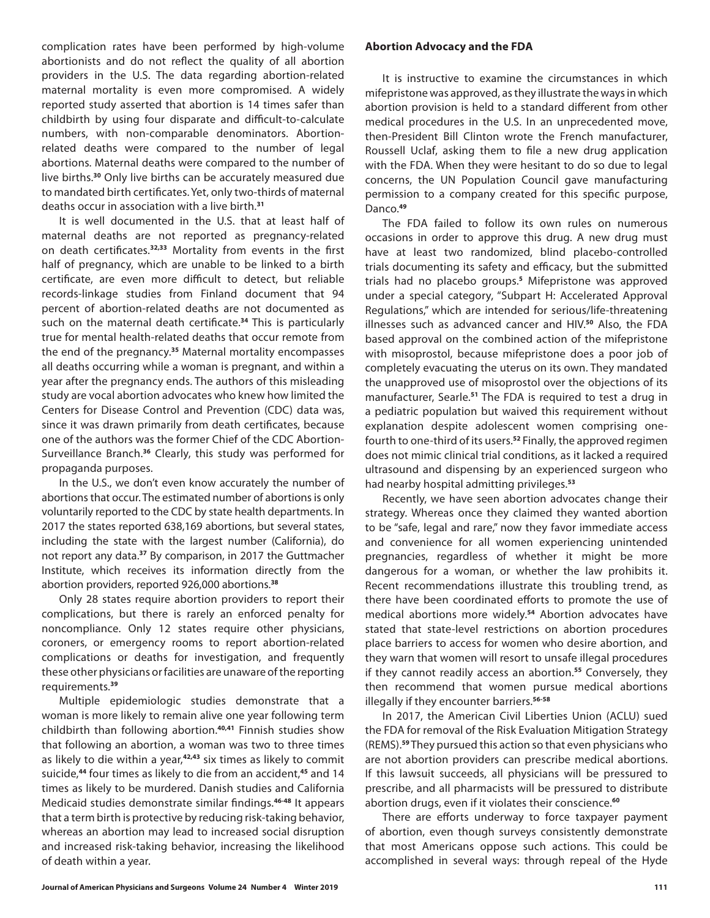complication rates have been performed by high-volume abortionists and do not reflect the quality of all abortion providers in the U.S. The data regarding abortion-related maternal mortality is even more compromised. A widely reported study asserted that abortion is 14 times safer than childbirth by using four disparate and difficult-to-calculate numbers, with non-comparable denominators. Abortionrelated deaths were compared to the number of legal abortions. Maternal deaths were compared to the number of live births.**<sup>30</sup>** Only live births can be accurately measured due to mandated birth certificates. Yet, only two-thirds of maternal deaths occur in association with a live birth.**<sup>31</sup>**

It is well documented in the U.S. that at least half of maternal deaths are not reported as pregnancy-related on death certificates.**32,33** Mortality from events in the first half of pregnancy, which are unable to be linked to a birth certificate, are even more difficult to detect, but reliable records-linkage studies from Finland document that 94 percent of abortion-related deaths are not documented as such on the maternal death certificate.**<sup>34</sup>** This is particularly true for mental health-related deaths that occur remote from the end of the pregnancy.**<sup>35</sup>** Maternal mortality encompasses all deaths occurring while a woman is pregnant, and within a year after the pregnancy ends. The authors of this misleading study are vocal abortion advocates who knew how limited the Centers for Disease Control and Prevention (CDC) data was, since it was drawn primarily from death certificates, because one of the authors was the former Chief of the CDC Abortion-Surveillance Branch.**<sup>36</sup>** Clearly, this study was performed for propaganda purposes.

In the U.S., we don't even know accurately the number of abortions that occur. The estimated number of abortions is only voluntarily reported to the CDC by state health departments. In 2017 the states reported 638,169 abortions, but several states, including the state with the largest number (California), do not report any data.**<sup>37</sup>** By comparison, in 2017 the Guttmacher Institute, which receives its information directly from the abortion providers, reported 926,000 abortions.**<sup>38</sup>**

Only 28 states require abortion providers to report their complications, but there is rarely an enforced penalty for noncompliance. Only 12 states require other physicians, coroners, or emergency rooms to report abortion-related complications or deaths for investigation, and frequently these other physicians or facilities are unaware of the reporting requirements.**<sup>39</sup>**

Multiple epidemiologic studies demonstrate that a woman is more likely to remain alive one year following term childbirth than following abortion.**40,41** Finnish studies show that following an abortion, a woman was two to three times as likely to die within a year,**42,43** six times as likely to commit suicide,**<sup>44</sup>** four times as likely to die from an accident,**<sup>45</sup>** and 14 times as likely to be murdered. Danish studies and California Medicaid studies demonstrate similar findings.**46-48** It appears that a term birth is protective by reducing risk-taking behavior, whereas an abortion may lead to increased social disruption and increased risk-taking behavior, increasing the likelihood of death within a year.

## **Abortion Advocacy and the FDA**

It is instructive to examine the circumstances in which mifepristone was approved, as they illustrate the ways in which abortion provision is held to a standard different from other medical procedures in the U.S. In an unprecedented move, then-President Bill Clinton wrote the French manufacturer, Roussell Uclaf, asking them to file a new drug application with the FDA. When they were hesitant to do so due to legal concerns, the UN Population Council gave manufacturing permission to a company created for this specific purpose, Danco.**<sup>49</sup>**

The FDA failed to follow its own rules on numerous occasions in order to approve this drug. A new drug must have at least two randomized, blind placebo-controlled trials documenting its safety and efficacy, but the submitted trials had no placebo groups.**<sup>5</sup>** Mifepristone was approved under a special category, "Subpart H: Accelerated Approval Regulations," which are intended for serious/life-threatening illnesses such as advanced cancer and HIV.**<sup>50</sup>** Also, the FDA based approval on the combined action of the mifepristone with misoprostol, because mifepristone does a poor job of completely evacuating the uterus on its own. They mandated the unapproved use of misoprostol over the objections of its manufacturer, Searle.**<sup>51</sup>** The FDA is required to test a drug in a pediatric population but waived this requirement without explanation despite adolescent women comprising onefourth to one-third of its users.**<sup>52</sup>** Finally, the approved regimen does not mimic clinical trial conditions, as it lacked a required ultrasound and dispensing by an experienced surgeon who had nearby hospital admitting privileges.**<sup>53</sup>**

Recently, we have seen abortion advocates change their strategy. Whereas once they claimed they wanted abortion to be "safe, legal and rare," now they favor immediate access and convenience for all women experiencing unintended pregnancies, regardless of whether it might be more dangerous for a woman, or whether the law prohibits it. Recent recommendations illustrate this troubling trend, as there have been coordinated efforts to promote the use of medical abortions more widely.**<sup>54</sup>** Abortion advocates have stated that state-level restrictions on abortion procedures place barriers to access for women who desire abortion, and they warn that women will resort to unsafe illegal procedures if they cannot readily access an abortion.**<sup>55</sup>** Conversely, they then recommend that women pursue medical abortions illegally if they encounter barriers.**56-58**

In 2017, the American Civil Liberties Union (ACLU) sued the FDA for removal of the Risk Evaluation Mitigation Strategy (REMS).**<sup>59</sup>** They pursued this action so that even physicians who are not abortion providers can prescribe medical abortions. If this lawsuit succeeds, all physicians will be pressured to prescribe, and all pharmacists will be pressured to distribute abortion drugs, even if it violates their conscience.**<sup>60</sup>**

There are efforts underway to force taxpayer payment of abortion, even though surveys consistently demonstrate that most Americans oppose such actions. This could be accomplished in several ways: through repeal of the Hyde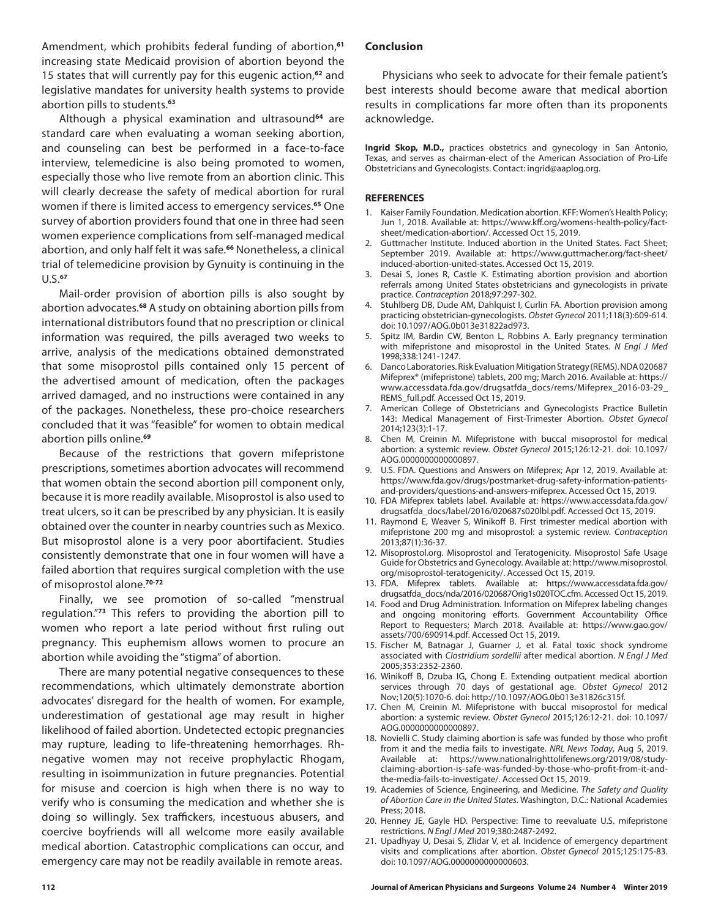Amendment, which prohibits federal funding of abortion,**<sup>61</sup>** increasing state Medicaid provision of abortion beyond the 15 states that will currently pay for this eugenic action,**<sup>62</sup>** and legislative mandates for university health systems to provide abortion pills to students.**<sup>63</sup>**

Although a physical examination and ultrasound**<sup>64</sup>** are standard care when evaluating a woman seeking abortion, and counseling can best be performed in a face-to-face interview, telemedicine is also being promoted to women, especially those who live remote from an abortion clinic. This will clearly decrease the safety of medical abortion for rural women if there is limited access to emergency services.**<sup>65</sup>** One survey of abortion providers found that one in three had seen women experience complications from self-managed medical abortion, and only half felt it was safe.**<sup>66</sup>** Nonetheless, a clinical trial of telemedicine provision by Gynuity is continuing in the U.S.**<sup>67</sup>**

Mail-order provision of abortion pills is also sought by abortion advocates.**<sup>68</sup>** A study on obtaining abortion pills from international distributors found that no prescription or clinical information was required, the pills averaged two weeks to arrive, analysis of the medications obtained demonstrated that some misoprostol pills contained only 15 percent of the advertised amount of medication, often the packages arrived damaged, and no instructions were contained in any of the packages. Nonetheless, these pro-choice researchers concluded that it was "feasible" for women to obtain medical abortion pills online.**<sup>69</sup>**

Because of the restrictions that govern mifepristone prescriptions, sometimes abortion advocates will recommend that women obtain the second abortion pill component only, because it is more readily available. Misoprostol is also used to treat ulcers, so it can be prescribed by any physician. It is easily obtained over the counter in nearby countries such as Mexico. But misoprostol alone is a very poor abortifacient. Studies consistently demonstrate that one in four women will have a failed abortion that requires surgical completion with the use of misoprostol alone.**70-72**

Finally, we see promotion of so-called "menstrual regulation."**<sup>73</sup>** This refers to providing the abortion pill to women who report a late period without first ruling out pregnancy. This euphemism allows women to procure an abortion while avoiding the "stigma" of abortion.

There are many potential negative consequences to these recommendations, which ultimately demonstrate abortion advocates' disregard for the health of women. For example, underestimation of gestational age may result in higher likelihood of failed abortion. Undetected ectopic pregnancies may rupture, leading to life-threatening hemorrhages. Rhnegative women may not receive prophylactic Rhogam, resulting in isoimmunization in future pregnancies. Potential for misuse and coercion is high when there is no way to verify who is consuming the medication and whether she is doing so willingly. Sex traffickers, incestuous abusers, and coercive boyfriends will all welcome more easily available medical abortion. Catastrophic complications can occur, and emergency care may not be readily available in remote areas.

### **Conclusion**

Physicians who seek to advocate for their female patient's best interests should become aware that medical abortion results in complications far more often than its proponents acknowledge.

**Ingrid Skop, M.D.,** practices obstetrics and gynecology in San Antonio, Texas, and serves as chairman-elect of the American Association of Pro-Life Obstetricians and Gynecologists. Contact: ingrid@aaplog.org.

#### **REFERENCES**

- 1. Kaiser Family Foundation. Medication abortion. KFF: Women's Health Policy; Jun 1, 2018. Available at: https://www.kff.org/womens-health-policy/factsheet/medication-abortion/. Accessed Oct 15, 2019.
- 2. Guttmacher Institute. Induced abortion in the United States. Fact Sheet; September 2019. Available at: https://www.guttmacher.org/fact-sheet/ induced-abortion-united-states. Accessed Oct 15, 2019.
- 3. Desai S, Jones R, Castle K. Estimating abortion provision and abortion referrals among United States obstetricians and gynecologists in private practice. *Contraception* 2018;97:297-302.
- 4. Stuhlberg DB, Dude AM, Dahlquist I, Curlin FA. Abortion provision among practicing obstetrician-gynecologists. *Obstet Gynecol* 2011;118(3):609-614. doi: 10.1097/AOG.0b013e31822ad973.
- 5. Spitz IM, Bardin CW, Benton L, Robbins A. Early pregnancy termination with mifepristone and misoprostol in the United States. *N Engl J Med* 1998;338:1241-1247.
- 6. Danco Laboratories. Risk Evaluation Mitigation Strategy (REMS). NDA 020687 Mifeprex® (mifepristone) tablets, 200 mg; March 2016. Available at: https:// www.accessdata.fda.gov/drugsatfda\_docs/rems/Mifeprex\_2016-03-29\_ REMS full.pdf. Accessed Oct 15, 2019.
- 7. American College of Obstetricians and Gynecologists Practice Bulletin 143: Medical Management of First-Trimester Abortion. *Obstet Gynecol* 2014;123(3):1-17.
- 8. Chen M, Creinin M. Mifepristone with buccal misoprostol for medical abortion: a systemic review. *Obstet Gynecol* 2015;126:12-21. doi: 10.1097/ AOG.0000000000000897.
- 9. U.S. FDA. Questions and Answers on Mifeprex; Apr 12, 2019. Available at: https://www.fda.gov/drugs/postmarket-drug-safety-information-patientsand-providers/questions-and-answers-mifeprex. Accessed Oct 15, 2019.
- 10. FDA Mifeprex tablets label. Available at: https://www.accessdata.fda.gov/ drugsatfda\_docs/label/2016/020687s020lbl.pdf. Accessed Oct 15, 2019.
- 11. Raymond E, Weaver S, Winikoff B. First trimester medical abortion with mifepristone 200 mg and misoprostol: a systemic review. *Contraception* 2013;87(1):36-37.
- 12. Misoprostol.org. Misoprostol and Teratogenicity. Misoprostol Safe Usage Guide for Obstetrics and Gynecology. Available at: http://www.misoprostol. org/misoprostol-teratogenicity/. Accessed Oct 15, 2019.
- 13. FDA. Mifeprex tablets. Available at: https://www.accessdata.fda.gov/ drugsatfda\_docs/nda/2016/020687Orig1s020TOC.cfm. Accessed Oct 15, 2019.
- 14. Food and Drug Administration. Information on Mifeprex labeling changes and ongoing monitoring efforts. Government Accountability Office Report to Requesters; March 2018. Available at: https://www.gao.gov/ assets/700/690914.pdf. Accessed Oct 15, 2019.
- 15. Fischer M, Batnagar J, Guarner J, et al. Fatal toxic shock syndrome associated with *Clostridium sordellii* after medical abortion. *N Engl J Med* 2005;353:2352-2360.
- 16. Winikoff B, Dzuba IG, Chong E. Extending outpatient medical abortion services through 70 days of gestational age. *Obstet Gynecol* 2012 Nov;120(5):1070-6. doi: http://10.1097/AOG.0b013e31826c315f.
- 17. Chen M, Creinin M. Mifepristone with buccal misoprostol for medical abortion: a systemic review. *Obstet Gynecol* 2015;126:12-21. doi: 10.1097/ AOG.0000000000000897.
- 18. Novielli C. Study claiming abortion is safe was funded by those who profit from it and the media fails to investigate. *NRL News Today*, Aug 5, 2019. Available at: https://www.nationalrighttolifenews.org/2019/08/studyclaiming-abortion-is-safe-was-funded-by-those-who-profit-from-it-andthe-media-fails-to-investigate/. Accessed Oct 15, 2019.
- 19. Academies of Science, Engineering, and Medicine. *The Safety and Quality of Abortion Care in the United States*. Washington, D.C.: National Academies Press; 2018.
- 20. Henney JE, Gayle HD. Perspective: Time to reevaluate U.S. mifepristone restrictions. *N Engl J Med* 2019;380:2487-2492.
- 21. Upadhyay U, Desai S, Zlidar V, et al. Incidence of emergency department visits and complications after abortion. *Obstet Gynecol* 2015;125:175-83. doi: 10.1097/AOG.0000000000000603.